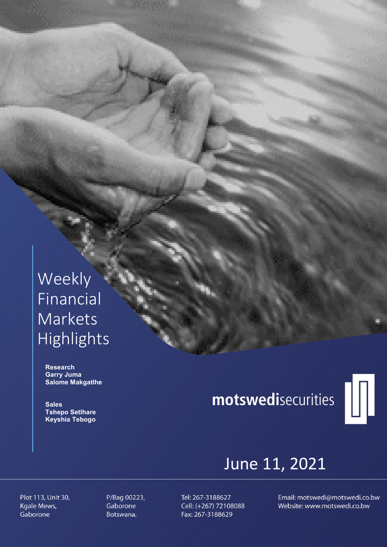# Weekly Financial Markets Highlights

 Research Garry Juma Salome Makgatlhe

**Sales**  Tshepo Setlhare Keyshia Tebogo

# motswedisecurities



## June 11, 2021

Plot 113, Unit 30, Kgale Mews, Gaborone

P/Bag 00223, Gaborone Botswana.

Tel: 267-3188627 Cell: (+267) 72108088 Fax: 267-3188629

Email: motswedi@motswedi.co.bw Website: www.motswedi.co.bw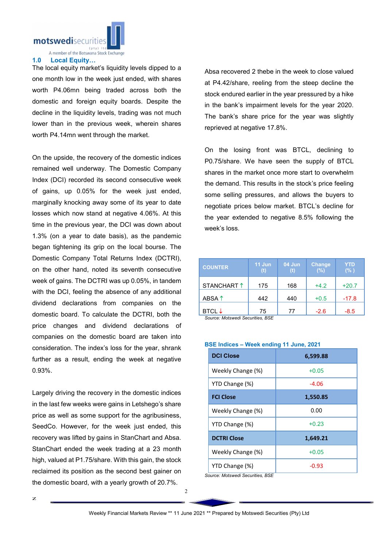

A member of the Botswana Stock Exchange

#### 1.0 Local Equity…

The local equity market's liquidity levels dipped to a one month low in the week just ended, with shares worth P4.06mn being traded across both the domestic and foreign equity boards. Despite the decline in the liquidity levels, trading was not much lower than in the previous week, wherein shares worth P4.14mn went through the market.

On the upside, the recovery of the domestic indices remained well underway. The Domestic Company Index (DCI) recorded its second consecutive week of gains, up 0.05% for the week just ended, marginally knocking away some of its year to date losses which now stand at negative 4.06%. At this time in the previous year, the DCI was down about 1.3% (on a year to date basis), as the pandemic began tightening its grip on the local bourse. The Domestic Company Total Returns Index (DCTRI), on the other hand, noted its seventh consecutive week of gains. The DCTRI was up 0.05%, in tandem with the DCI, feeling the absence of any additional dividend declarations from companies on the domestic board. To calculate the DCTRI, both the price changes and dividend declarations of companies on the domestic board are taken into consideration. The index's loss for the year, shrank further as a result, ending the week at negative 0.93%.

Largely driving the recovery in the domestic indices in the last few weeks were gains in Letshego's share price as well as some support for the agribusiness, SeedCo. However, for the week just ended, this recovery was lifted by gains in StanChart and Absa. StanChart ended the week trading at a 23 month high, valued at P1.75/share. With this gain, the stock reclaimed its position as the second best gainer on the domestic board, with a yearly growth of 20.7%.

Absa recovered 2 thebe in the week to close valued at P4.42/share, reeling from the steep decline the stock endured earlier in the year pressured by a hike in the bank's impairment levels for the year 2020. The bank's share price for the year was slightly reprieved at negative 17.8%.

On the losing front was BTCL, declining to P0.75/share. We have seen the supply of BTCL shares in the market once more start to overwhelm the demand. This results in the stock's price feeling some selling pressures, and allows the buyers to negotiate prices below market. BTCL's decline for the year extended to negative 8.5% following the week's loss.

| <b>COUNTER</b>                                       | 11 Jun<br>(t) | 04 Jun<br>(t) | <b>Change</b><br>(%) | YTD<br>(% ) |
|------------------------------------------------------|---------------|---------------|----------------------|-------------|
| STANCHART <sup>1</sup>                               | 175           | 168           | $+4.2$               | $+20.7$     |
| ABSA $\uparrow$                                      | 442           | 440           | $+0.5$               | $-17.8$     |
| BTCL $\downarrow$<br>Course: Motowodi Coourition DCE | 75            | 77            | $-2.6$               | $-8.5$      |

*Source: Motswedi Securities, BSE* 

### BSE Indices – Week ending 11 June, 2021

| <b>DCI Close</b>               | 6,599.88 |  |  |
|--------------------------------|----------|--|--|
| Weekly Change (%)              | $+0.05$  |  |  |
| YTD Change (%)                 | $-4.06$  |  |  |
| <b>FCI Close</b>               | 1,550.85 |  |  |
| Weekly Change (%)              | 0.00     |  |  |
| YTD Change (%)                 | $+0.23$  |  |  |
| <b>DCTRI Close</b>             | 1,649.21 |  |  |
| Weekly Change (%)              | $+0.05$  |  |  |
| YTD Change (%)<br>.<br>$-\sim$ | $-0.93$  |  |  |

*Source: Motswedi Securities, BSE*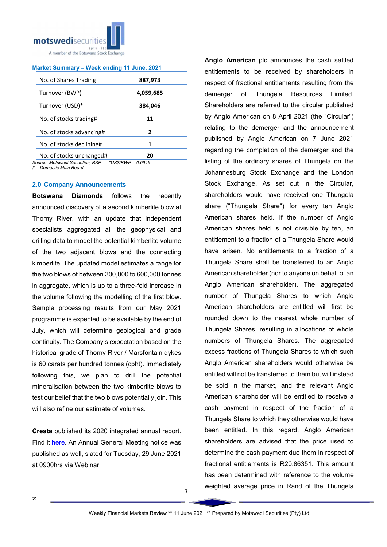

#### Market Summary – Week ending 11 June, 2021

| No. of Shares Trading    | 887,973   |  |  |
|--------------------------|-----------|--|--|
| Turnover (BWP)           | 4,059,685 |  |  |
| Turnover (USD)*          | 384,046   |  |  |
|                          | 11        |  |  |
| No. of stocks trading#   |           |  |  |
| No. of stocks advancing# | 2         |  |  |
| No. of stocks declining# | 1         |  |  |
| No. of stocks unchanged# |           |  |  |

*Source: Motswedi Securities, BSE \*US\$/BWP = 0.0946 # = Domestic Main Board*

#### 2.0 Company Announcements

Botswana Diamonds follows the recently announced discovery of a second kimberlite blow at Thorny River, with an update that independent specialists aggregated all the geophysical and drilling data to model the potential kimberlite volume of the two adjacent blows and the connecting kimberlite. The updated model estimates a range for the two blows of between 300,000 to 600,000 tonnes in aggregate, which is up to a three-fold increase in the volume following the modelling of the first blow. Sample processing results from our May 2021 programme is expected to be available by the end of July, which will determine geological and grade continuity. The Company's expectation based on the historical grade of Thorny River / Marsfontain dykes is 60 carats per hundred tonnes (cpht). Immediately following this, we plan to drill the potential mineralisation between the two kimberlite blows to test our belief that the two blows potentially join. This will also refine our estimate of volumes.

Cresta published its 2020 integrated annual report. Find it here. An Annual General Meeting notice was published as well, slated for Tuesday, 29 June 2021 at 0900hrs via Webinar.

Anglo American plc announces the cash settled entitlements to be received by shareholders in respect of fractional entitlements resulting from the demerger of Thungela Resources Limited. Shareholders are referred to the circular published by Anglo American on 8 April 2021 (the "Circular") relating to the demerger and the announcement published by Anglo American on 7 June 2021 regarding the completion of the demerger and the listing of the ordinary shares of Thungela on the Johannesburg Stock Exchange and the London Stock Exchange. As set out in the Circular, shareholders would have received one Thungela share ("Thungela Share") for every ten Anglo American shares held. If the number of Anglo American shares held is not divisible by ten, an entitlement to a fraction of a Thungela Share would have arisen. No entitlements to a fraction of a Thungela Share shall be transferred to an Anglo American shareholder (nor to anyone on behalf of an Anglo American shareholder). The aggregated number of Thungela Shares to which Anglo American shareholders are entitled will first be rounded down to the nearest whole number of Thungela Shares, resulting in allocations of whole numbers of Thungela Shares. The aggregated excess fractions of Thungela Shares to which such Anglo American shareholders would otherwise be entitled will not be transferred to them but will instead be sold in the market, and the relevant Anglo American shareholder will be entitled to receive a cash payment in respect of the fraction of a Thungela Share to which they otherwise would have been entitled. In this regard, Anglo American shareholders are advised that the price used to determine the cash payment due them in respect of fractional entitlements is R20.86351. This amount has been determined with reference to the volume weighted average price in Rand of the Thungela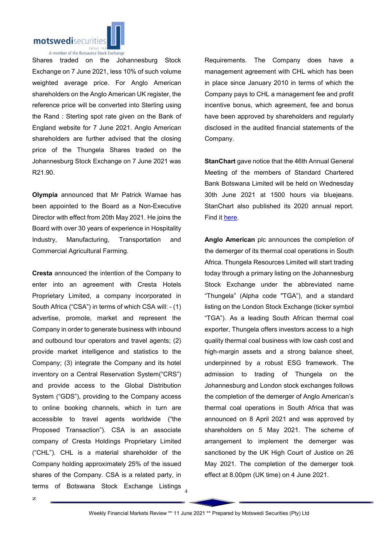

Shares traded on the Johannesburg Stock Exchange on 7 June 2021, less 10% of such volume weighted average price. For Anglo American shareholders on the Anglo American UK register, the reference price will be converted into Sterling using the Rand : Sterling spot rate given on the Bank of England website for 7 June 2021. Anglo American shareholders are further advised that the closing price of the Thungela Shares traded on the Johannesburg Stock Exchange on 7 June 2021 was R21.90.

Olympia announced that Mr Patrick Wamae has been appointed to the Board as a Non-Executive Director with effect from 20th May 2021. He joins the Board with over 30 years of experience in Hospitality Industry, Manufacturing, Transportation and Commercial Agricultural Farming.

Cresta announced the intention of the Company to enter into an agreement with Cresta Hotels Proprietary Limited, a company incorporated in South Africa ("CSA") in terms of which CSA will: - (1) advertise, promote, market and represent the Company in order to generate business with inbound and outbound tour operators and travel agents; (2) provide market intelligence and statistics to the Company; (3) integrate the Company and its hotel inventory on a Central Reservation System("CRS") and provide access to the Global Distribution System ("GDS"), providing to the Company access to online booking channels, which in turn are accessible to travel agents worldwide ("the Proposed Transaction"). CSA is an associate company of Cresta Holdings Proprietary Limited ("CHL"). CHL is a material shareholder of the Company holding approximately 25% of the issued shares of the Company. CSA is a related party, in terms of Botswana Stock Exchange Listings Requirements. The Company does have a management agreement with CHL which has been in place since January 2010 in terms of which the Company pays to CHL a management fee and profit incentive bonus, which agreement, fee and bonus have been approved by shareholders and regularly disclosed in the audited financial statements of the Company.

StanChart gave notice that the 46th Annual General Meeting of the members of Standard Chartered Bank Botswana Limited will be held on Wednesday 30th June 2021 at 1500 hours via bluejeans. StanChart also published its 2020 annual report. Find it here.

Anglo American plc announces the completion of the demerger of its thermal coal operations in South Africa. Thungela Resources Limited will start trading today through a primary listing on the Johannesburg Stock Exchange under the abbreviated name "Thungela" (Alpha code "TGA"), and a standard listing on the London Stock Exchange (ticker symbol "TGA"). As a leading South African thermal coal exporter, Thungela offers investors access to a high quality thermal coal business with low cash cost and high-margin assets and a strong balance sheet, underpinned by a robust ESG framework. The admission to trading of Thungela on the Johannesburg and London stock exchanges follows the completion of the demerger of Anglo American's thermal coal operations in South Africa that was announced on 8 April 2021 and was approved by shareholders on 5 May 2021. The scheme of arrangement to implement the demerger was sanctioned by the UK High Court of Justice on 26 May 2021. The completion of the demerger took effect at 8.00pm (UK time) on 4 June 2021.

4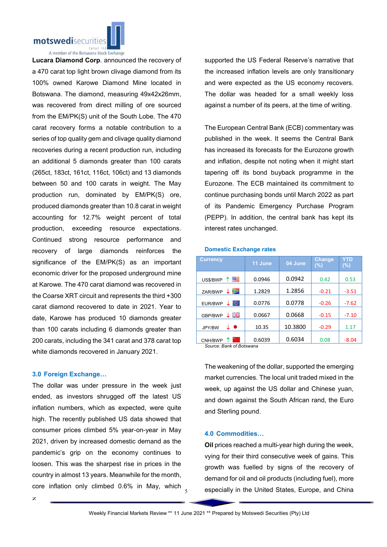

A member of the Botswana Stock Exchange

Lucara Diamond Corp. announced the recovery of a 470 carat top light brown clivage diamond from its 100% owned Karowe Diamond Mine located in Botswana. The diamond, measuring 49x42x26mm, was recovered from direct milling of ore sourced from the EM/PK(S) unit of the South Lobe. The 470 carat recovery forms a notable contribution to a series of top quality gem and clivage quality diamond recoveries during a recent production run, including an additional 5 diamonds greater than 100 carats (265ct, 183ct, 161ct, 116ct, 106ct) and 13 diamonds between 50 and 100 carats in weight. The May production run, dominated by EM/PK(S) ore, produced diamonds greater than 10.8 carat in weight accounting for 12.7% weight percent of total production, exceeding resource expectations. Continued strong resource performance and recovery of large diamonds reinforces the significance of the EM/PK(S) as an important economic driver for the proposed underground mine at Karowe. The 470 carat diamond was recovered in the Coarse XRT circuit and represents the third +300 carat diamond recovered to date in 2021. Year to date, Karowe has produced 10 diamonds greater than 100 carats including 6 diamonds greater than 200 carats, including the 341 carat and 378 carat top white diamonds recovered in January 2021.

## 3.0 Foreign Exchange…

The dollar was under pressure in the week just ended, as investors shrugged off the latest US inflation numbers, which as expected, were quite high. The recently published US data showed that consumer prices climbed 5% year-on-year in May 2021, driven by increased domestic demand as the pandemic's grip on the economy continues to loosen. This was the sharpest rise in prices in the country in almost 13 years. Meanwhile for the month, core inflation only climbed 0.6% in May, which supported the US Federal Reserve's narrative that the increased inflation levels are only transitionary and were expected as the US economy recovers. The dollar was headed for a small weekly loss against a number of its peers, at the time of writing.

The European Central Bank (ECB) commentary was published in the week. It seems the Central Bank has increased its forecasts for the Eurozone growth and inflation, despite not noting when it might start tapering off its bond buyback programme in the Eurozone. The ECB maintained its commitment to continue purchasing bonds until March 2022 as part of its Pandemic Emergency Purchase Program (PEPP). In addition, the central bank has kept its interest rates unchanged.

#### Domestic Exchange rates

| <b>Currency</b>          | 11 June | 04 June | <b>Change</b><br>(%) | YTD<br>(%) |
|--------------------------|---------|---------|----------------------|------------|
| 四<br>US\$/BWP            | 0.0946  | 0.0942  | 0.42                 | 0.53       |
| y≡<br>ZAR/BWP            | 1.2829  | 1.2856  | $-0.21$              | $-3.51$    |
| ⊙.<br>EUR/BWP            | 0.0776  | 0.0778  | $-0.26$              | $-7.62$    |
| ↓ ∺∺<br>GBP/BWP          | 0.0667  | 0.0668  | $-0.15$              | $-7.10$    |
| $\bullet$<br>↓<br>JPY/BW | 10.35   | 10.3800 | $-0.29$              | 1.17       |
| CNH/BWP                  | 0.6039  | 0.6034  | 0.08                 | $-8.04$    |

*Source: Bank of Botswana*

The weakening of the dollar, supported the emerging market currencies. The local unit traded mixed in the week, up against the US dollar and Chinese yuan, and down against the South African rand, the Euro and Sterling pound.

#### 4.0 Commodities…

Oil prices reached a multi-year high during the week, vying for their third consecutive week of gains. This growth was fuelled by signs of the recovery of demand for oil and oil products (including fuel), more especially in the United States, Europe, and China

5